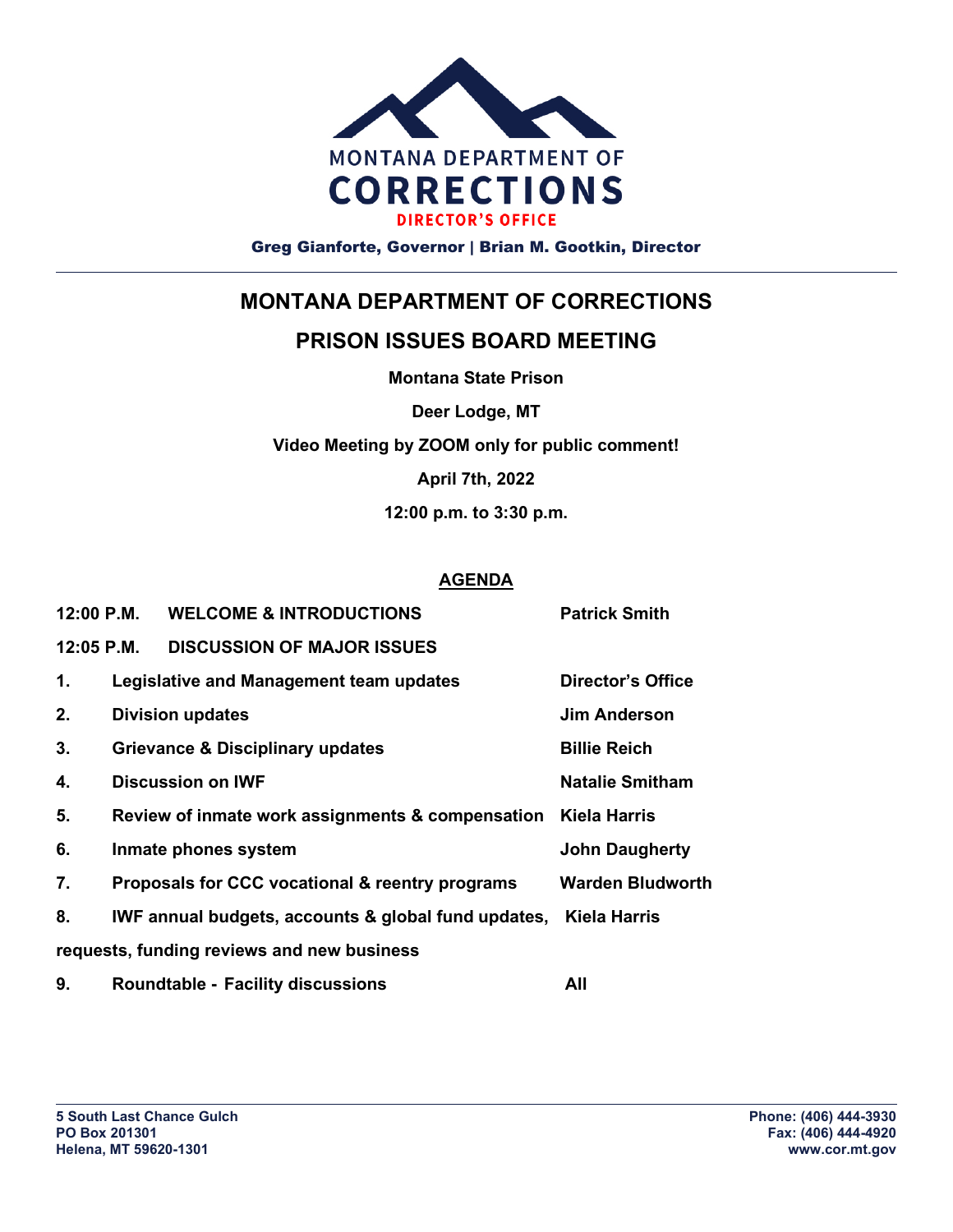

Greg Gianforte, Governor | Brian M. Gootkin, Director

## **MONTANA DEPARTMENT OF CORRECTIONS**

## **PRISON ISSUES BOARD MEETING**

**Montana State Prison**

**Deer Lodge, MT**

**Video Meeting by ZOOM only for public comment!**

**April 7th, 2022**

**12:00 p.m. to 3:30 p.m.**

## **AGENDA**

| 12:00 P.M.                                 |                                                  | <b>WELCOME &amp; INTRODUCTIONS</b>                               | <b>Patrick Smith</b>     |
|--------------------------------------------|--------------------------------------------------|------------------------------------------------------------------|--------------------------|
| $12:05$ P.M.                               |                                                  | <b>DISCUSSION OF MAJOR ISSUES</b>                                |                          |
| 1.                                         |                                                  | Legislative and Management team updates                          | <b>Director's Office</b> |
| 2.                                         | <b>Division updates</b>                          |                                                                  | <b>Jim Anderson</b>      |
| 3.                                         | <b>Grievance &amp; Disciplinary updates</b>      |                                                                  | <b>Billie Reich</b>      |
| 4.                                         | <b>Discussion on IWF</b>                         |                                                                  | <b>Natalie Smitham</b>   |
| 5.                                         | Review of inmate work assignments & compensation |                                                                  | <b>Kiela Harris</b>      |
| 6.                                         | Inmate phones system                             |                                                                  | <b>John Daugherty</b>    |
| 7.                                         |                                                  | Proposals for CCC vocational & reentry programs                  | <b>Warden Bludworth</b>  |
| 8.                                         |                                                  | IWF annual budgets, accounts & global fund updates, Kiela Harris |                          |
| requests, funding reviews and new business |                                                  |                                                                  |                          |

**9. Roundtable - Facility discussions All**